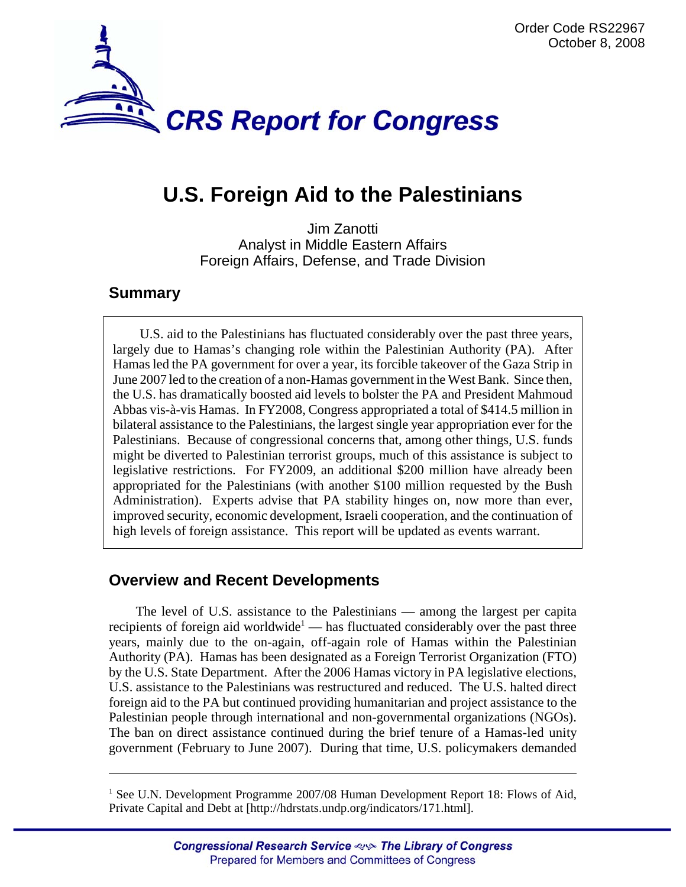

# **U.S. Foreign Aid to the Palestinians**

Jim Zanotti Analyst in Middle Eastern Affairs Foreign Affairs, Defense, and Trade Division

#### **Summary**

U.S. aid to the Palestinians has fluctuated considerably over the past three years, largely due to Hamas's changing role within the Palestinian Authority (PA). After Hamas led the PA government for over a year, its forcible takeover of the Gaza Strip in June 2007 led to the creation of a non-Hamas government in the West Bank. Since then, the U.S. has dramatically boosted aid levels to bolster the PA and President Mahmoud Abbas vis-à-vis Hamas. In FY2008, Congress appropriated a total of \$414.5 million in bilateral assistance to the Palestinians, the largest single year appropriation ever for the Palestinians. Because of congressional concerns that, among other things, U.S. funds might be diverted to Palestinian terrorist groups, much of this assistance is subject to legislative restrictions. For FY2009, an additional \$200 million have already been appropriated for the Palestinians (with another \$100 million requested by the Bush Administration). Experts advise that PA stability hinges on, now more than ever, improved security, economic development, Israeli cooperation, and the continuation of high levels of foreign assistance. This report will be updated as events warrant.

# **Overview and Recent Developments**

The level of U.S. assistance to the Palestinians — among the largest per capita recipients of foreign aid worldwide<sup>1</sup> — has fluctuated considerably over the past three years, mainly due to the on-again, off-again role of Hamas within the Palestinian Authority (PA). Hamas has been designated as a Foreign Terrorist Organization (FTO) by the U.S. State Department. After the 2006 Hamas victory in PA legislative elections, U.S. assistance to the Palestinians was restructured and reduced. The U.S. halted direct foreign aid to the PA but continued providing humanitarian and project assistance to the Palestinian people through international and non-governmental organizations (NGOs). The ban on direct assistance continued during the brief tenure of a Hamas-led unity government (February to June 2007). During that time, U.S. policymakers demanded

<sup>&</sup>lt;sup>1</sup> See U.N. Development Programme 2007/08 Human Development Report 18: Flows of Aid, Private Capital and Debt at [http://hdrstats.undp.org/indicators/171.html].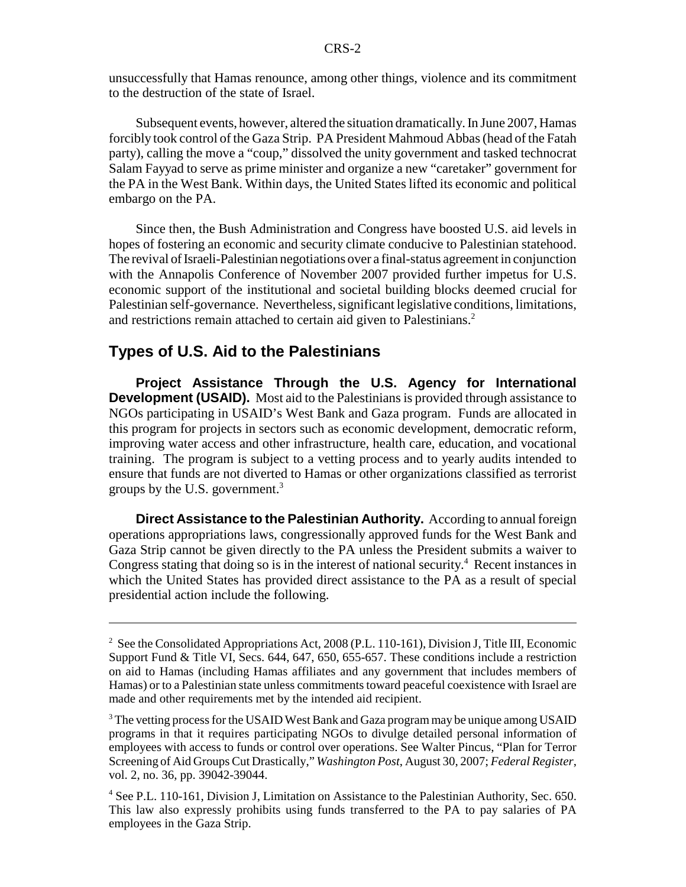unsuccessfully that Hamas renounce, among other things, violence and its commitment to the destruction of the state of Israel.

Subsequent events, however, altered the situation dramatically. In June 2007, Hamas forcibly took control of the Gaza Strip. PA President Mahmoud Abbas (head of the Fatah party), calling the move a "coup," dissolved the unity government and tasked technocrat Salam Fayyad to serve as prime minister and organize a new "caretaker" government for the PA in the West Bank. Within days, the United States lifted its economic and political embargo on the PA.

Since then, the Bush Administration and Congress have boosted U.S. aid levels in hopes of fostering an economic and security climate conducive to Palestinian statehood. The revival of Israeli-Palestinian negotiations over a final-status agreement in conjunction with the Annapolis Conference of November 2007 provided further impetus for U.S. economic support of the institutional and societal building blocks deemed crucial for Palestinian self-governance. Nevertheless, significant legislative conditions, limitations, and restrictions remain attached to certain aid given to Palestinians.<sup>2</sup>

#### **Types of U.S. Aid to the Palestinians**

**Project Assistance Through the U.S. Agency for International Development (USAID).** Most aid to the Palestinians is provided through assistance to NGOs participating in USAID's West Bank and Gaza program. Funds are allocated in this program for projects in sectors such as economic development, democratic reform, improving water access and other infrastructure, health care, education, and vocational training. The program is subject to a vetting process and to yearly audits intended to ensure that funds are not diverted to Hamas or other organizations classified as terrorist groups by the U.S. government.3

**Direct Assistance to the Palestinian Authority.** According to annual foreign operations appropriations laws, congressionally approved funds for the West Bank and Gaza Strip cannot be given directly to the PA unless the President submits a waiver to Congress stating that doing so is in the interest of national security.<sup>4</sup> Recent instances in which the United States has provided direct assistance to the PA as a result of special presidential action include the following.

<sup>&</sup>lt;sup>2</sup> See the Consolidated Appropriations Act, 2008 (P.L. 110-161), Division J, Title III, Economic Support Fund & Title VI, Secs. 644, 647, 650, 655-657. These conditions include a restriction on aid to Hamas (including Hamas affiliates and any government that includes members of Hamas) or to a Palestinian state unless commitments toward peaceful coexistence with Israel are made and other requirements met by the intended aid recipient.

 $3$  The vetting process for the USAID West Bank and Gaza program may be unique among USAID programs in that it requires participating NGOs to divulge detailed personal information of employees with access to funds or control over operations. See Walter Pincus, "Plan for Terror Screening of Aid Groups Cut Drastically," *Washington Post*, August 30, 2007; *Federal Register*, vol. 2, no. 36, pp. 39042-39044.

<sup>&</sup>lt;sup>4</sup> See P.L. 110-161, Division J, Limitation on Assistance to the Palestinian Authority, Sec. 650. This law also expressly prohibits using funds transferred to the PA to pay salaries of PA employees in the Gaza Strip.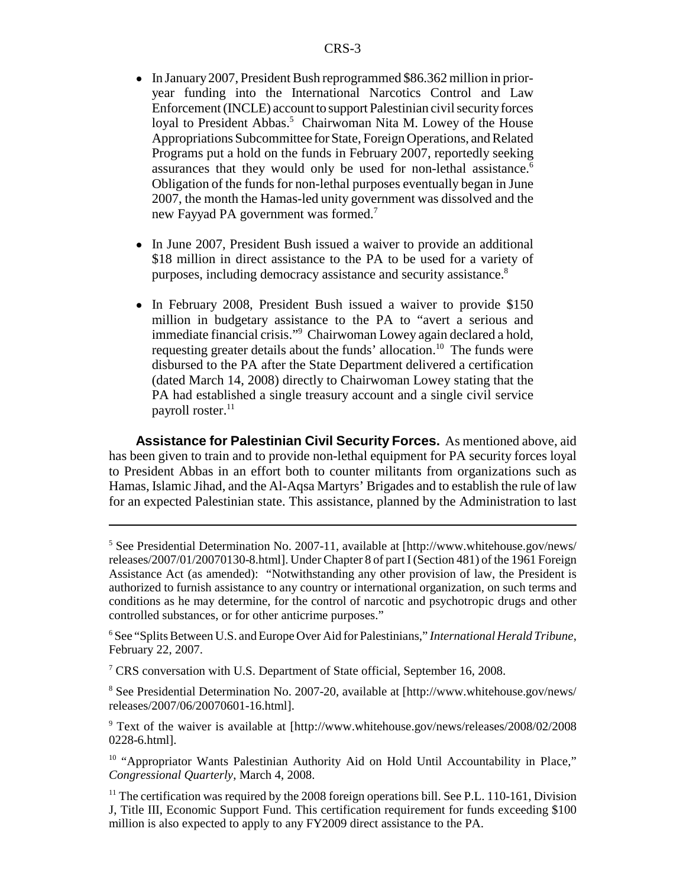- In January 2007, President Bush reprogrammed \$86.362 million in prioryear funding into the International Narcotics Control and Law Enforcement (INCLE) account to support Palestinian civil security forces loyal to President Abbas.<sup>5</sup> Chairwoman Nita M. Lowey of the House Appropriations Subcommittee for State, Foreign Operations, and Related Programs put a hold on the funds in February 2007, reportedly seeking assurances that they would only be used for non-lethal assistance.<sup>6</sup> Obligation of the funds for non-lethal purposes eventually began in June 2007, the month the Hamas-led unity government was dissolved and the new Fayyad PA government was formed.<sup>7</sup>
- In June 2007, President Bush issued a waiver to provide an additional \$18 million in direct assistance to the PA to be used for a variety of purposes, including democracy assistance and security assistance.8
- In February 2008, President Bush issued a waiver to provide \$150 million in budgetary assistance to the PA to "avert a serious and immediate financial crisis."9 Chairwoman Lowey again declared a hold, requesting greater details about the funds' allocation.<sup>10</sup> The funds were disbursed to the PA after the State Department delivered a certification (dated March 14, 2008) directly to Chairwoman Lowey stating that the PA had established a single treasury account and a single civil service payroll roster. $^{11}$

**Assistance for Palestinian Civil Security Forces.** As mentioned above, aid has been given to train and to provide non-lethal equipment for PA security forces loyal to President Abbas in an effort both to counter militants from organizations such as Hamas, Islamic Jihad, and the Al-Aqsa Martyrs' Brigades and to establish the rule of law for an expected Palestinian state. This assistance, planned by the Administration to last

<sup>7</sup> CRS conversation with U.S. Department of State official, September 16, 2008.

<sup>8</sup> See Presidential Determination No. 2007-20, available at [http://www.whitehouse.gov/news/ releases/2007/06/20070601-16.html].

<sup>9</sup> Text of the waiver is available at [http://www.whitehouse.gov/news/releases/2008/02/2008 0228-6.html].

<sup>10</sup> "Appropriator Wants Palestinian Authority Aid on Hold Until Accountability in Place," *Congressional Quarterly*, March 4, 2008.

<sup>&</sup>lt;sup>5</sup> See Presidential Determination No. 2007-11, available at [http://www.whitehouse.gov/news/ releases/2007/01/20070130-8.html]. Under Chapter 8 of part I (Section 481) of the 1961 Foreign Assistance Act (as amended): "Notwithstanding any other provision of law, the President is authorized to furnish assistance to any country or international organization, on such terms and conditions as he may determine, for the control of narcotic and psychotropic drugs and other controlled substances, or for other anticrime purposes."

<sup>6</sup> See "Splits Between U.S. and Europe Over Aid for Palestinians," *International Herald Tribune*, February 22, 2007.

 $<sup>11</sup>$  The certification was required by the 2008 foreign operations bill. See P.L. 110-161, Division</sup> J, Title III, Economic Support Fund. This certification requirement for funds exceeding \$100 million is also expected to apply to any FY2009 direct assistance to the PA.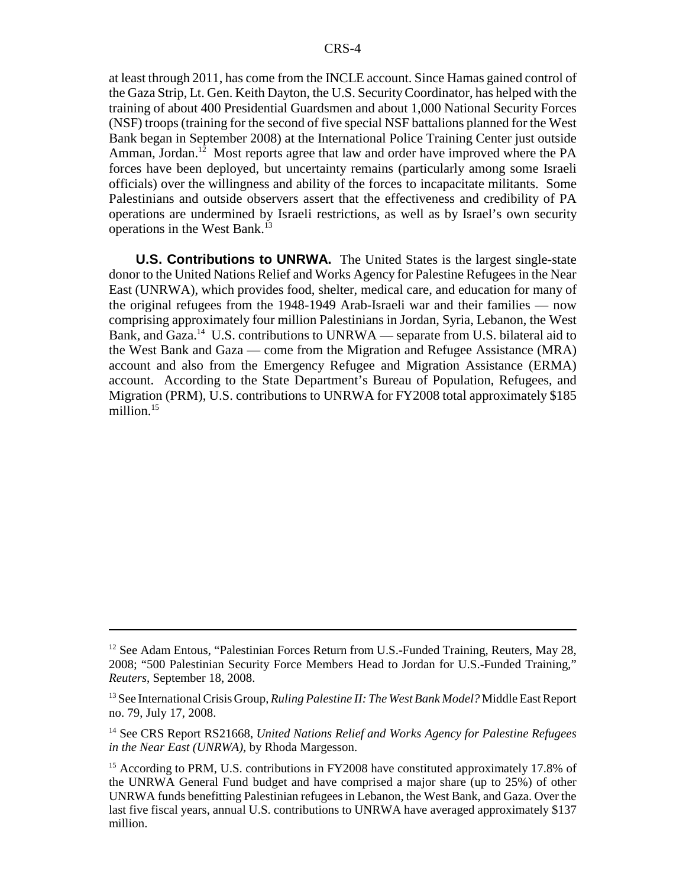at least through 2011, has come from the INCLE account. Since Hamas gained control of the Gaza Strip, Lt. Gen. Keith Dayton, the U.S. Security Coordinator, has helped with the training of about 400 Presidential Guardsmen and about 1,000 National Security Forces (NSF) troops (training for the second of five special NSF battalions planned for the West Bank began in September 2008) at the International Police Training Center just outside Amman, Jordan.<sup>12</sup> Most reports agree that law and order have improved where the PA forces have been deployed, but uncertainty remains (particularly among some Israeli officials) over the willingness and ability of the forces to incapacitate militants. Some Palestinians and outside observers assert that the effectiveness and credibility of PA operations are undermined by Israeli restrictions, as well as by Israel's own security operations in the West Bank.13

**U.S. Contributions to UNRWA.** The United States is the largest single-state donor to the United Nations Relief and Works Agency for Palestine Refugees in the Near East (UNRWA), which provides food, shelter, medical care, and education for many of the original refugees from the 1948-1949 Arab-Israeli war and their families — now comprising approximately four million Palestinians in Jordan, Syria, Lebanon, the West Bank, and Gaza.<sup>14</sup> U.S. contributions to UNRWA — separate from U.S. bilateral aid to the West Bank and Gaza — come from the Migration and Refugee Assistance (MRA) account and also from the Emergency Refugee and Migration Assistance (ERMA) account. According to the State Department's Bureau of Population, Refugees, and Migration (PRM), U.S. contributions to UNRWA for FY2008 total approximately \$185 million.<sup>15</sup>

<sup>&</sup>lt;sup>12</sup> See Adam Entous, "Palestinian Forces Return from U.S.-Funded Training, Reuters, May 28, 2008; "500 Palestinian Security Force Members Head to Jordan for U.S.-Funded Training," *Reuters*, September 18, 2008.

<sup>13</sup> See International Crisis Group, *Ruling Palestine II: The West Bank Model?* Middle East Report no. 79, July 17, 2008.

<sup>14</sup> See CRS Report RS21668, *United Nations Relief and Works Agency for Palestine Refugees in the Near East (UNRWA)*, by Rhoda Margesson.

<sup>&</sup>lt;sup>15</sup> According to PRM, U.S. contributions in FY2008 have constituted approximately 17.8% of the UNRWA General Fund budget and have comprised a major share (up to 25%) of other UNRWA funds benefitting Palestinian refugees in Lebanon, the West Bank, and Gaza. Over the last five fiscal years, annual U.S. contributions to UNRWA have averaged approximately \$137 million.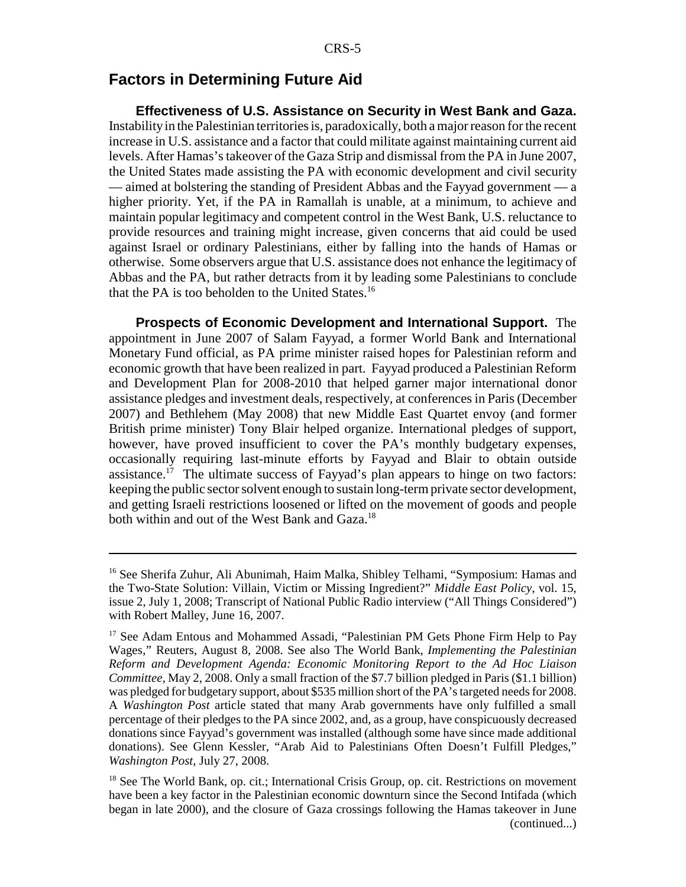# **Factors in Determining Future Aid**

**Effectiveness of U.S. Assistance on Security in West Bank and Gaza.** Instability in the Palestinian territories is, paradoxically, both a major reason for the recent increase in U.S. assistance and a factor that could militate against maintaining current aid levels. After Hamas's takeover of the Gaza Strip and dismissal from the PA in June 2007, the United States made assisting the PA with economic development and civil security — aimed at bolstering the standing of President Abbas and the Fayyad government — a higher priority. Yet, if the PA in Ramallah is unable, at a minimum, to achieve and maintain popular legitimacy and competent control in the West Bank, U.S. reluctance to provide resources and training might increase, given concerns that aid could be used against Israel or ordinary Palestinians, either by falling into the hands of Hamas or otherwise. Some observers argue that U.S. assistance does not enhance the legitimacy of Abbas and the PA, but rather detracts from it by leading some Palestinians to conclude that the PA is too beholden to the United States.<sup>16</sup>

**Prospects of Economic Development and International Support.** The appointment in June 2007 of Salam Fayyad, a former World Bank and International Monetary Fund official, as PA prime minister raised hopes for Palestinian reform and economic growth that have been realized in part. Fayyad produced a Palestinian Reform and Development Plan for 2008-2010 that helped garner major international donor assistance pledges and investment deals, respectively, at conferences in Paris (December 2007) and Bethlehem (May 2008) that new Middle East Quartet envoy (and former British prime minister) Tony Blair helped organize. International pledges of support, however, have proved insufficient to cover the PA's monthly budgetary expenses, occasionally requiring last-minute efforts by Fayyad and Blair to obtain outside assistance.<sup>17</sup> The ultimate success of Fayyad's plan appears to hinge on two factors: keeping the public sector solvent enough to sustain long-term private sector development, and getting Israeli restrictions loosened or lifted on the movement of goods and people both within and out of the West Bank and Gaza.<sup>18</sup>

<sup>16</sup> See Sherifa Zuhur, Ali Abunimah, Haim Malka, Shibley Telhami, "Symposium: Hamas and the Two-State Solution: Villain, Victim or Missing Ingredient?" *Middle East Policy*, vol. 15, issue 2, July 1, 2008; Transcript of National Public Radio interview ("All Things Considered") with Robert Malley, June 16, 2007.

<sup>&</sup>lt;sup>17</sup> See Adam Entous and Mohammed Assadi, "Palestinian PM Gets Phone Firm Help to Pay Wages," Reuters, August 8, 2008. See also The World Bank, *Implementing the Palestinian Reform and Development Agenda: Economic Monitoring Report to the Ad Hoc Liaison Committee*, May 2, 2008. Only a small fraction of the \$7.7 billion pledged in Paris (\$1.1 billion) was pledged for budgetary support, about \$535 million short of the PA's targeted needs for 2008. A *Washington Post* article stated that many Arab governments have only fulfilled a small percentage of their pledges to the PA since 2002, and, as a group, have conspicuously decreased donations since Fayyad's government was installed (although some have since made additional donations). See Glenn Kessler, "Arab Aid to Palestinians Often Doesn't Fulfill Pledges," *Washington Post*, July 27, 2008.

 $18$  See The World Bank, op. cit.; International Crisis Group, op. cit. Restrictions on movement have been a key factor in the Palestinian economic downturn since the Second Intifada (which began in late 2000), and the closure of Gaza crossings following the Hamas takeover in June (continued...)